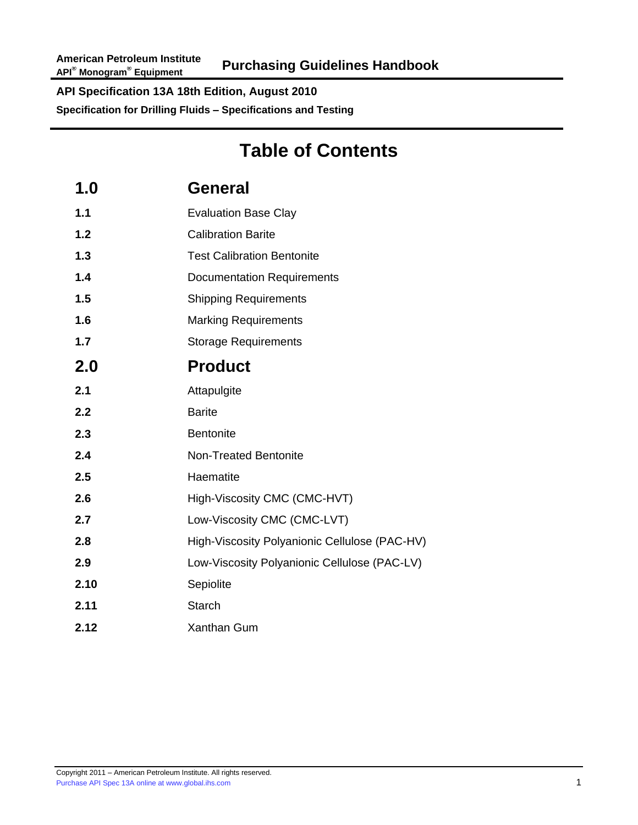# **Table of Contents**

| 1.0  | <b>General</b>                                |
|------|-----------------------------------------------|
| 1.1  | <b>Evaluation Base Clay</b>                   |
| 1.2  | <b>Calibration Barite</b>                     |
| 1.3  | <b>Test Calibration Bentonite</b>             |
| 1.4  | <b>Documentation Requirements</b>             |
| 1.5  | <b>Shipping Requirements</b>                  |
| 1.6  | <b>Marking Requirements</b>                   |
| 1.7  | <b>Storage Requirements</b>                   |
| 2.0  | <b>Product</b>                                |
| 2.1  | Attapulgite                                   |
| 2.2  | <b>Barite</b>                                 |
| 2.3  | <b>Bentonite</b>                              |
| 2.4  | <b>Non-Treated Bentonite</b>                  |
| 2.5  | Haematite                                     |
| 2.6  | High-Viscosity CMC (CMC-HVT)                  |
| 2.7  | Low-Viscosity CMC (CMC-LVT)                   |
| 2.8  | High-Viscosity Polyanionic Cellulose (PAC-HV) |
| 2.9  | Low-Viscosity Polyanionic Cellulose (PAC-LV)  |
| 2.10 | Sepiolite                                     |
| 2.11 | <b>Starch</b>                                 |
| 2.12 | <b>Xanthan Gum</b>                            |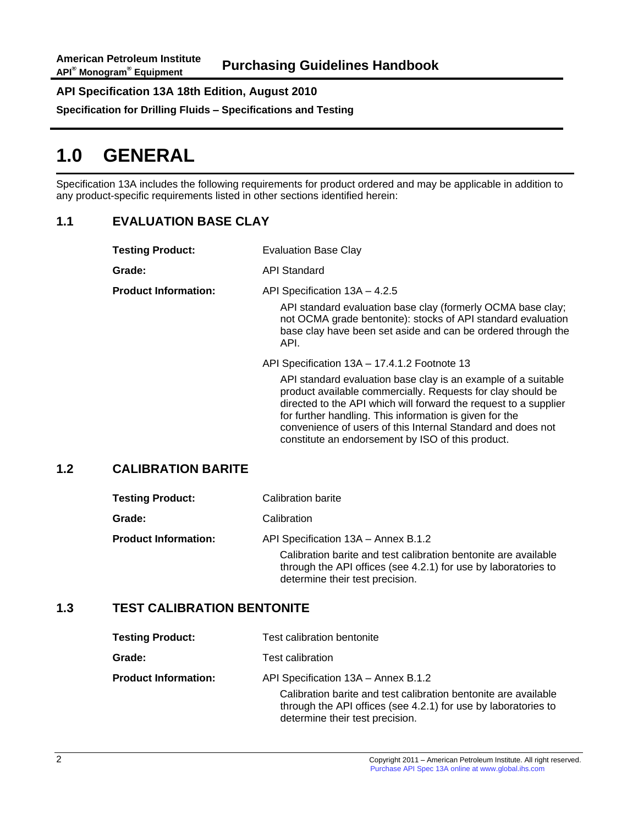**Specification for Drilling Fluids – Specifications and Testing**

# **1.0 GENERAL**

Specification 13A includes the following requirements for product ordered and may be applicable in addition to any product-specific requirements listed in other sections identified herein:

## **1.1 EVALUATION BASE CLAY**

| <b>Testing Product:</b>     | <b>Evaluation Base Clay</b>                                                                                                                                                                                                                                                                                                                           |  |
|-----------------------------|-------------------------------------------------------------------------------------------------------------------------------------------------------------------------------------------------------------------------------------------------------------------------------------------------------------------------------------------------------|--|
| Grade:                      | API Standard                                                                                                                                                                                                                                                                                                                                          |  |
| <b>Product Information:</b> | API Specification 13A - 4.2.5<br>API standard evaluation base clay (formerly OCMA base clay;<br>not OCMA grade bentonite): stocks of API standard evaluation<br>base clay have been set aside and can be ordered through the<br>API.<br>API Specification 13A - 17.4.1.2 Footnote 13<br>API standard evaluation base clay is an example of a suitable |  |
|                             | product available commercially. Requests for clay should be<br>directed to the API which will forward the request to a supplier<br>for further handling. This information is given for the<br>convenience of users of this Internal Standard and does not<br>constitute an endorsement by ISO of this product.                                        |  |

### **1.2 CALIBRATION BARITE**

| <b>Testing Product:</b>     | Calibration barite                                                                                                                                                   |  |
|-----------------------------|----------------------------------------------------------------------------------------------------------------------------------------------------------------------|--|
| Grade:                      | Calibration                                                                                                                                                          |  |
| <b>Product Information:</b> | API Specification 13A - Annex B.1.2                                                                                                                                  |  |
|                             | Calibration barite and test calibration bentonite are available<br>through the API offices (see 4.2.1) for use by laboratories to<br>determine their test precision. |  |

### **1.3 TEST CALIBRATION BENTONITE**

| <b>Testing Product:</b>     | Test calibration bentonite                                                                                                                                           |  |
|-----------------------------|----------------------------------------------------------------------------------------------------------------------------------------------------------------------|--|
| Grade:                      | Test calibration                                                                                                                                                     |  |
| <b>Product Information:</b> | API Specification 13A - Annex B.1.2                                                                                                                                  |  |
|                             | Calibration barite and test calibration bentonite are available<br>through the API offices (see 4.2.1) for use by laboratories to<br>determine their test precision. |  |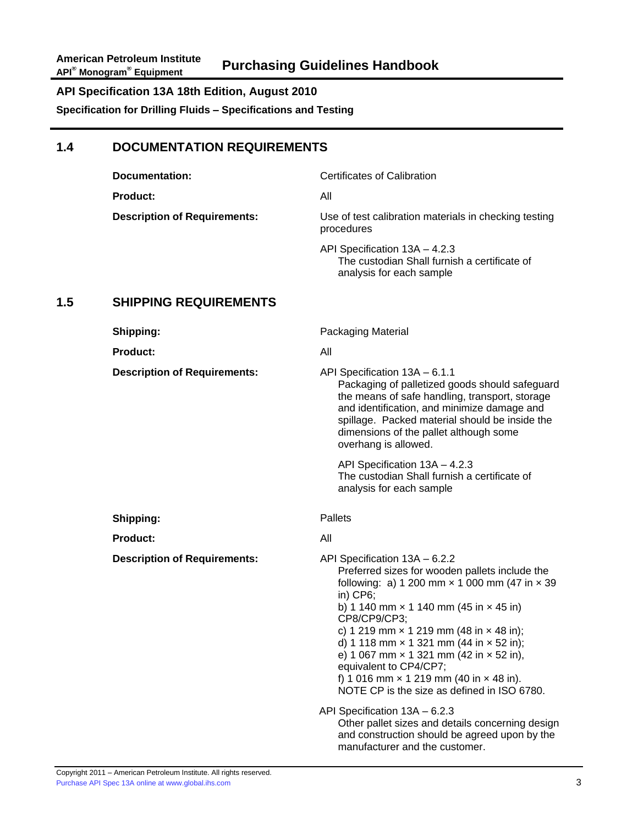**Specification for Drilling Fluids – Specifications and Testing**

### **1.4 DOCUMENTATION REQUIREMENTS**

|     | <b>Documentation:</b>               | <b>Certificates of Calibration</b>                                                                                                                                                                                                                                                                                                                                                                                                                                                                                                                 |
|-----|-------------------------------------|----------------------------------------------------------------------------------------------------------------------------------------------------------------------------------------------------------------------------------------------------------------------------------------------------------------------------------------------------------------------------------------------------------------------------------------------------------------------------------------------------------------------------------------------------|
|     | Product:                            | All                                                                                                                                                                                                                                                                                                                                                                                                                                                                                                                                                |
|     | <b>Description of Requirements:</b> | Use of test calibration materials in checking testing<br>procedures                                                                                                                                                                                                                                                                                                                                                                                                                                                                                |
|     |                                     | API Specification 13A - 4.2.3<br>The custodian Shall furnish a certificate of<br>analysis for each sample                                                                                                                                                                                                                                                                                                                                                                                                                                          |
| 1.5 | <b>SHIPPING REQUIREMENTS</b>        |                                                                                                                                                                                                                                                                                                                                                                                                                                                                                                                                                    |
|     | Shipping:                           | Packaging Material                                                                                                                                                                                                                                                                                                                                                                                                                                                                                                                                 |
|     | <b>Product:</b>                     | All                                                                                                                                                                                                                                                                                                                                                                                                                                                                                                                                                |
|     | <b>Description of Requirements:</b> | API Specification 13A - 6.1.1<br>Packaging of palletized goods should safeguard<br>the means of safe handling, transport, storage<br>and identification, and minimize damage and<br>spillage. Packed material should be inside the<br>dimensions of the pallet although some<br>overhang is allowed.                                                                                                                                                                                                                                               |
|     |                                     | API Specification 13A - 4.2.3<br>The custodian Shall furnish a certificate of<br>analysis for each sample                                                                                                                                                                                                                                                                                                                                                                                                                                          |
|     | Shipping:                           | <b>Pallets</b>                                                                                                                                                                                                                                                                                                                                                                                                                                                                                                                                     |
|     | <b>Product:</b>                     | All                                                                                                                                                                                                                                                                                                                                                                                                                                                                                                                                                |
|     | <b>Description of Requirements:</b> | API Specification 13A - 6.2.2<br>Preferred sizes for wooden pallets include the<br>following: a) 1 200 mm $\times$ 1 000 mm (47 in $\times$ 39<br>in) $CP6$ ;<br>b) 1 140 mm $\times$ 1 140 mm (45 in $\times$ 45 in)<br>CP8/CP9/CP3;<br>c) 1 219 mm $\times$ 1 219 mm (48 in $\times$ 48 in);<br>d) 1 118 mm $\times$ 1 321 mm (44 in $\times$ 52 in);<br>e) 1 067 mm $\times$ 1 321 mm (42 in $\times$ 52 in),<br>equivalent to CP4/CP7;<br>f) 1 016 mm $\times$ 1 219 mm (40 in $\times$ 48 in).<br>NOTE CP is the size as defined in ISO 6780. |
|     |                                     | API Specification 13A - 6.2.3<br>Other pallet sizes and details concerning design<br>and construction should be agreed upon by the<br>manufacturer and the customer.                                                                                                                                                                                                                                                                                                                                                                               |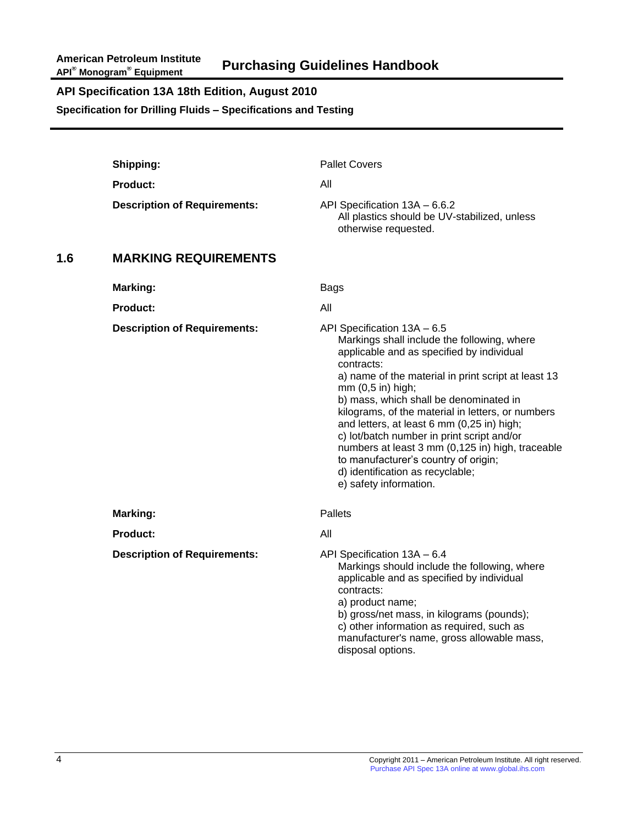**Specification for Drilling Fluids – Specifications and Testing**

|     | Shipping:                           | <b>Pallet Covers</b>                                                                                                                                                                                                                                                                                                                                                                                                                                                                                                                                                   |
|-----|-------------------------------------|------------------------------------------------------------------------------------------------------------------------------------------------------------------------------------------------------------------------------------------------------------------------------------------------------------------------------------------------------------------------------------------------------------------------------------------------------------------------------------------------------------------------------------------------------------------------|
|     | Product:                            | All                                                                                                                                                                                                                                                                                                                                                                                                                                                                                                                                                                    |
|     | <b>Description of Requirements:</b> | API Specification 13A - 6.6.2<br>All plastics should be UV-stabilized, unless<br>otherwise requested.                                                                                                                                                                                                                                                                                                                                                                                                                                                                  |
| 1.6 | <b>MARKING REQUIREMENTS</b>         |                                                                                                                                                                                                                                                                                                                                                                                                                                                                                                                                                                        |
|     | <b>Marking:</b>                     | <b>Bags</b>                                                                                                                                                                                                                                                                                                                                                                                                                                                                                                                                                            |
|     | <b>Product:</b>                     | All                                                                                                                                                                                                                                                                                                                                                                                                                                                                                                                                                                    |
|     | <b>Description of Requirements:</b> | API Specification 13A - 6.5<br>Markings shall include the following, where<br>applicable and as specified by individual<br>contracts:<br>a) name of the material in print script at least 13<br>mm (0,5 in) high;<br>b) mass, which shall be denominated in<br>kilograms, of the material in letters, or numbers<br>and letters, at least 6 mm (0,25 in) high;<br>c) lot/batch number in print script and/or<br>numbers at least 3 mm (0,125 in) high, traceable<br>to manufacturer's country of origin;<br>d) identification as recyclable;<br>e) safety information. |
|     | Marking:                            | Pallets                                                                                                                                                                                                                                                                                                                                                                                                                                                                                                                                                                |
|     | <b>Product:</b>                     | All                                                                                                                                                                                                                                                                                                                                                                                                                                                                                                                                                                    |
|     | <b>Description of Requirements:</b> | API Specification 13A - 6.4<br>Markings should include the following, where<br>applicable and as specified by individual<br>contracts:<br>a) product name;<br>b) gross/net mass, in kilograms (pounds);<br>c) other information as required, such as<br>manufacturer's name, gross allowable mass,<br>disposal options.                                                                                                                                                                                                                                                |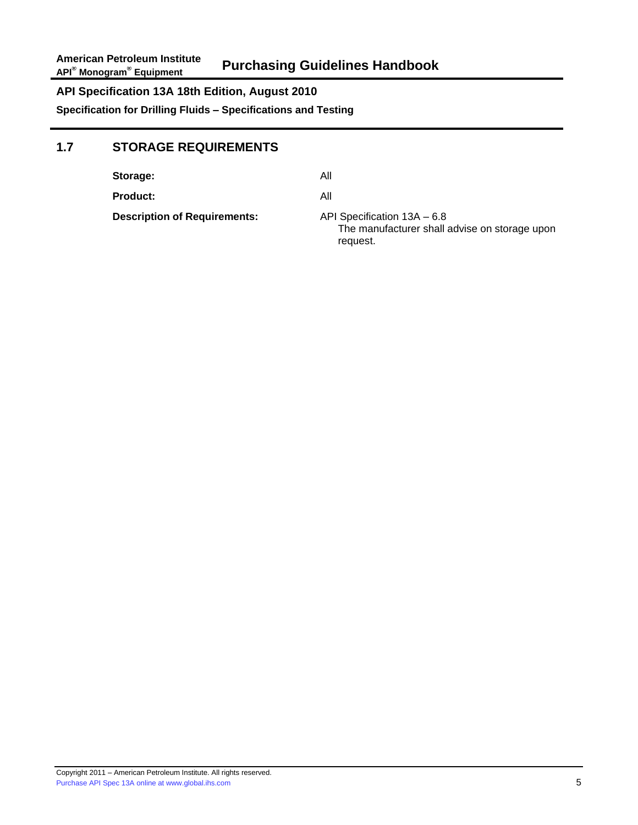# **1.7 STORAGE REQUIREMENTS**

| Storage:                            | All                                                                                      |
|-------------------------------------|------------------------------------------------------------------------------------------|
| Product:                            | All                                                                                      |
| <b>Description of Requirements:</b> | API Specification 13A - 6.8<br>The manufacturer shall advise on storage upon<br>request. |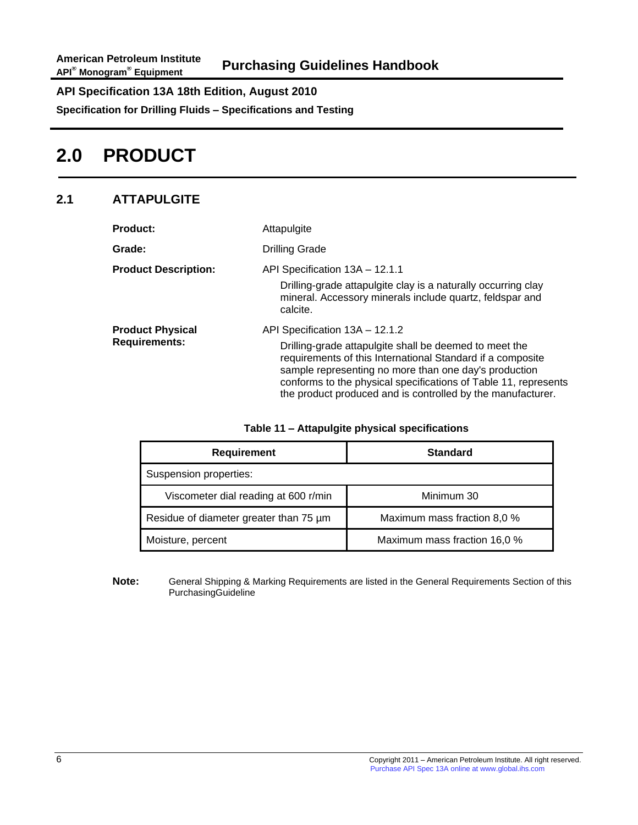**Specification for Drilling Fluids – Specifications and Testing**

# **2.0 PRODUCT**

# **2.1 ATTAPULGITE**

| <b>Product:</b>                                 | Attapulgite                                                                                                                                                                                                                                                                                                                                       |  |
|-------------------------------------------------|---------------------------------------------------------------------------------------------------------------------------------------------------------------------------------------------------------------------------------------------------------------------------------------------------------------------------------------------------|--|
| <b>Grade:</b>                                   | <b>Drilling Grade</b>                                                                                                                                                                                                                                                                                                                             |  |
| <b>Product Description:</b>                     | API Specification 13A - 12.1.1<br>Drilling-grade attapulgite clay is a naturally occurring clay<br>mineral. Accessory minerals include quartz, feldspar and<br>calcite.                                                                                                                                                                           |  |
| <b>Product Physical</b><br><b>Requirements:</b> | API Specification 13A - 12.1.2<br>Drilling-grade attapulgite shall be deemed to meet the<br>requirements of this International Standard if a composite<br>sample representing no more than one day's production<br>conforms to the physical specifications of Table 11, represents<br>the product produced and is controlled by the manufacturer. |  |

| Table 11 - Attapulgite physical specifications |
|------------------------------------------------|
|------------------------------------------------|

| <b>Requirement</b>                     | <b>Standard</b>              |
|----------------------------------------|------------------------------|
| Suspension properties:                 |                              |
| Viscometer dial reading at 600 r/min   | Minimum 30                   |
| Residue of diameter greater than 75 um | Maximum mass fraction 8,0 %  |
| Moisture, percent                      | Maximum mass fraction 16,0 % |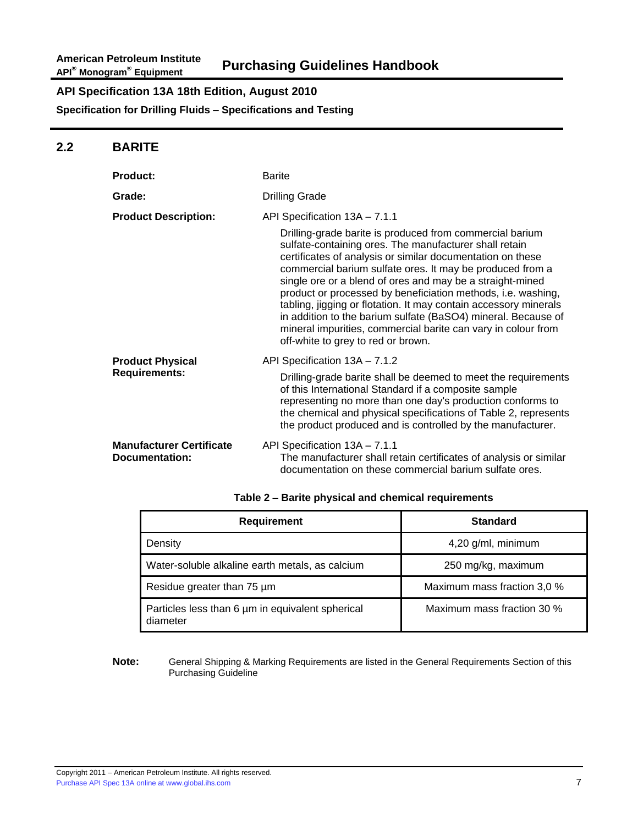### **2.2 BARITE**

| <b>Product:</b>                                   | <b>Barite</b>                                                                                                                                                                                                                                                                                                                                                                                                                                                                                                                                                                                                                                           |
|---------------------------------------------------|---------------------------------------------------------------------------------------------------------------------------------------------------------------------------------------------------------------------------------------------------------------------------------------------------------------------------------------------------------------------------------------------------------------------------------------------------------------------------------------------------------------------------------------------------------------------------------------------------------------------------------------------------------|
| Grade:                                            | <b>Drilling Grade</b>                                                                                                                                                                                                                                                                                                                                                                                                                                                                                                                                                                                                                                   |
| <b>Product Description:</b>                       | API Specification 13A - 7.1.1<br>Drilling-grade barite is produced from commercial barium<br>sulfate-containing ores. The manufacturer shall retain<br>certificates of analysis or similar documentation on these<br>commercial barium sulfate ores. It may be produced from a<br>single ore or a blend of ores and may be a straight-mined<br>product or processed by beneficiation methods, i.e. washing,<br>tabling, jigging or flotation. It may contain accessory minerals<br>in addition to the barium sulfate (BaSO4) mineral. Because of<br>mineral impurities, commercial barite can vary in colour from<br>off-white to grey to red or brown. |
| <b>Product Physical</b><br><b>Requirements:</b>   | API Specification 13A - 7.1.2<br>Drilling-grade barite shall be deemed to meet the requirements<br>of this International Standard if a composite sample<br>representing no more than one day's production conforms to<br>the chemical and physical specifications of Table 2, represents<br>the product produced and is controlled by the manufacturer.                                                                                                                                                                                                                                                                                                 |
| <b>Manufacturer Certificate</b><br>Documentation: | API Specification 13A - 7.1.1<br>The manufacturer shall retain certificates of analysis or similar<br>documentation on these commercial barium sulfate ores.                                                                                                                                                                                                                                                                                                                                                                                                                                                                                            |

| <b>Requirement</b>                                           | <b>Standard</b>             |
|--------------------------------------------------------------|-----------------------------|
| Density                                                      | 4,20 g/ml, minimum          |
| Water-soluble alkaline earth metals, as calcium              | 250 mg/kg, maximum          |
| Residue greater than 75 um                                   | Maximum mass fraction 3,0 % |
| Particles less than 6 um in equivalent spherical<br>diameter | Maximum mass fraction 30 %  |

#### **Table 2 – Barite physical and chemical requirements**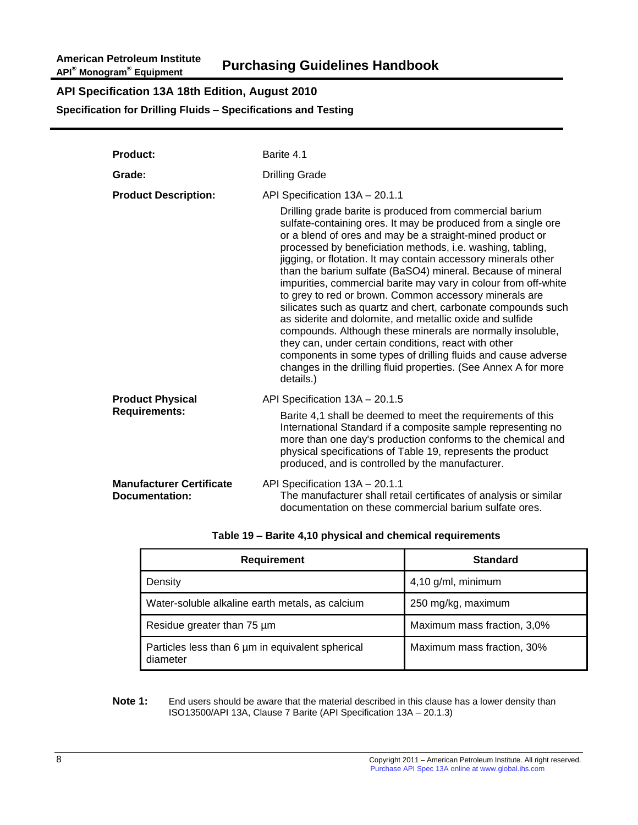**Specification for Drilling Fluids – Specifications and Testing**

| <b>Product:</b>                                   | Barite 4.1                                                                                                                                                                                                                                                                                                                                                                                                                                                                                                                                                                                                                                                                                                                                                                                                                                                |
|---------------------------------------------------|-----------------------------------------------------------------------------------------------------------------------------------------------------------------------------------------------------------------------------------------------------------------------------------------------------------------------------------------------------------------------------------------------------------------------------------------------------------------------------------------------------------------------------------------------------------------------------------------------------------------------------------------------------------------------------------------------------------------------------------------------------------------------------------------------------------------------------------------------------------|
| Grade:                                            | <b>Drilling Grade</b>                                                                                                                                                                                                                                                                                                                                                                                                                                                                                                                                                                                                                                                                                                                                                                                                                                     |
| <b>Product Description:</b>                       | API Specification 13A - 20.1.1<br>Drilling grade barite is produced from commercial barium                                                                                                                                                                                                                                                                                                                                                                                                                                                                                                                                                                                                                                                                                                                                                                |
|                                                   | sulfate-containing ores. It may be produced from a single ore<br>or a blend of ores and may be a straight-mined product or<br>processed by beneficiation methods, i.e. washing, tabling,<br>jigging, or flotation. It may contain accessory minerals other<br>than the barium sulfate (BaSO4) mineral. Because of mineral<br>impurities, commercial barite may vary in colour from off-white<br>to grey to red or brown. Common accessory minerals are<br>silicates such as quartz and chert, carbonate compounds such<br>as siderite and dolomite, and metallic oxide and sulfide<br>compounds. Although these minerals are normally insoluble,<br>they can, under certain conditions, react with other<br>components in some types of drilling fluids and cause adverse<br>changes in the drilling fluid properties. (See Annex A for more<br>details.) |
| <b>Product Physical</b>                           | API Specification 13A - 20.1.5                                                                                                                                                                                                                                                                                                                                                                                                                                                                                                                                                                                                                                                                                                                                                                                                                            |
| <b>Requirements:</b>                              | Barite 4,1 shall be deemed to meet the requirements of this<br>International Standard if a composite sample representing no<br>more than one day's production conforms to the chemical and<br>physical specifications of Table 19, represents the product<br>produced, and is controlled by the manufacturer.                                                                                                                                                                                                                                                                                                                                                                                                                                                                                                                                             |
| <b>Manufacturer Certificate</b><br>Documentation: | API Specification 13A - 20.1.1<br>The manufacturer shall retail certificates of analysis or similar<br>documentation on these commercial barium sulfate ores.                                                                                                                                                                                                                                                                                                                                                                                                                                                                                                                                                                                                                                                                                             |

| <b>Requirement</b>                                           | <b>Standard</b>             |
|--------------------------------------------------------------|-----------------------------|
| Density                                                      | 4,10 g/ml, minimum          |
| Water-soluble alkaline earth metals, as calcium              | 250 mg/kg, maximum          |
| Residue greater than 75 um                                   | Maximum mass fraction, 3,0% |
| Particles less than 6 um in equivalent spherical<br>diameter | Maximum mass fraction, 30%  |

**Note 1:** End users should be aware that the material described in this clause has a lower density than ISO13500/API 13A, Clause 7 Barite (API Specification 13A – 20.1.3)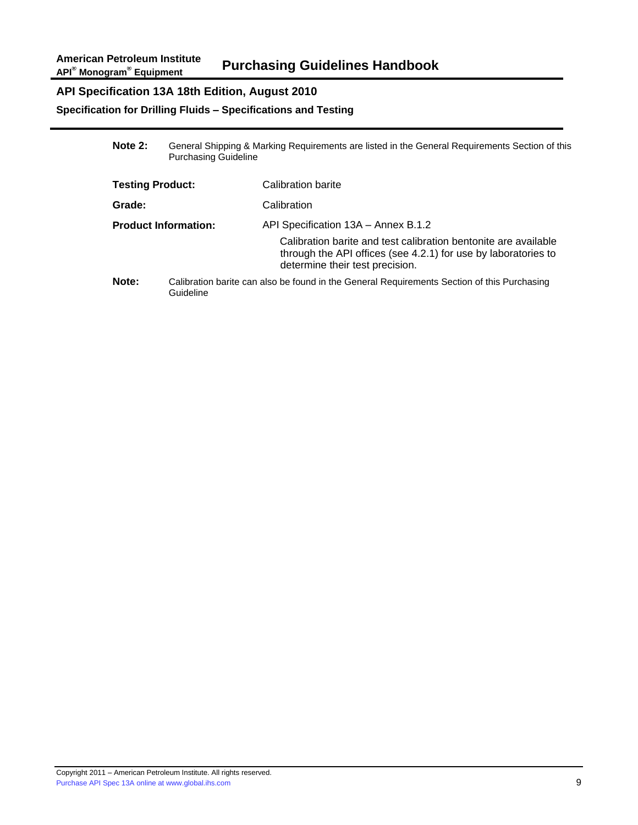### **Specification for Drilling Fluids – Specifications and Testing**

| Note 2:                     | General Shipping & Marking Requirements are listed in the General Requirements Section of this<br><b>Purchasing Guideline</b> |                                                                                                                                                                          |
|-----------------------------|-------------------------------------------------------------------------------------------------------------------------------|--------------------------------------------------------------------------------------------------------------------------------------------------------------------------|
| <b>Testing Product:</b>     |                                                                                                                               | Calibration barite                                                                                                                                                       |
| Grade:                      |                                                                                                                               | Calibration                                                                                                                                                              |
| <b>Product Information:</b> |                                                                                                                               | API Specification 13A - Annex B.1.2<br>Calibration barite and test calibration bentonite are available<br>through the API offices (see 4.2.1) for use by laboratories to |
|                             |                                                                                                                               | determine their test precision.                                                                                                                                          |
| Note:                       | Guideline                                                                                                                     | Calibration barite can also be found in the General Requirements Section of this Purchasing                                                                              |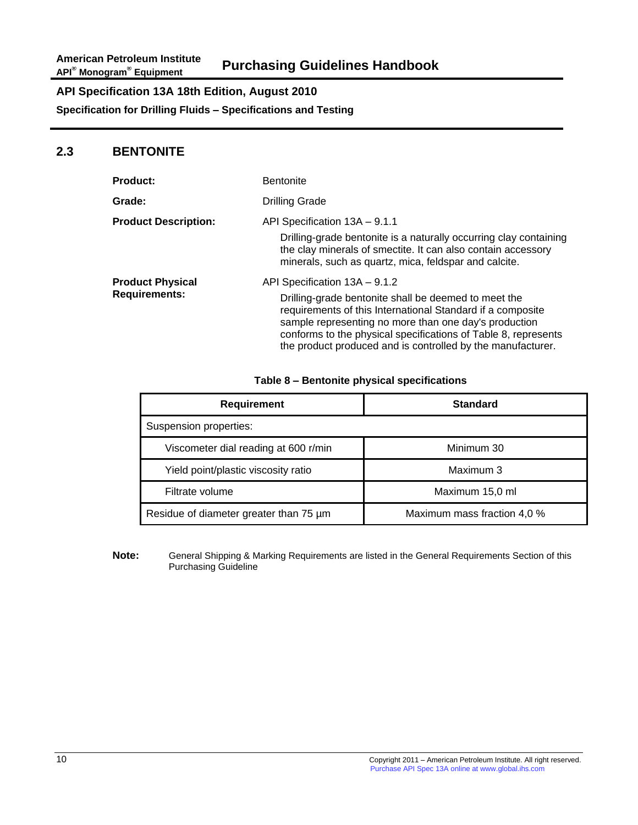### **2.3 BENTONITE**

| <b>Product:</b>             | <b>Bentonite</b>                                                                                                                                                                                                                                                                                             |
|-----------------------------|--------------------------------------------------------------------------------------------------------------------------------------------------------------------------------------------------------------------------------------------------------------------------------------------------------------|
| Grade:                      | <b>Drilling Grade</b>                                                                                                                                                                                                                                                                                        |
| <b>Product Description:</b> | API Specification 13A - 9.1.1                                                                                                                                                                                                                                                                                |
|                             | Drilling-grade bentonite is a naturally occurring clay containing<br>the clay minerals of smectite. It can also contain accessory<br>minerals, such as quartz, mica, feldspar and calcite.                                                                                                                   |
| <b>Product Physical</b>     | API Specification 13A - 9.1.2                                                                                                                                                                                                                                                                                |
| <b>Requirements:</b>        | Drilling-grade bentonite shall be deemed to meet the<br>requirements of this International Standard if a composite<br>sample representing no more than one day's production<br>conforms to the physical specifications of Table 8, represents<br>the product produced and is controlled by the manufacturer. |

#### **Table 8 – Bentonite physical specifications**

| <b>Requirement</b>                     | <b>Standard</b>             |
|----------------------------------------|-----------------------------|
| Suspension properties:                 |                             |
| Viscometer dial reading at 600 r/min   | Minimum 30                  |
| Yield point/plastic viscosity ratio    | Maximum 3                   |
| Filtrate volume                        | Maximum 15,0 ml             |
| Residue of diameter greater than 75 um | Maximum mass fraction 4,0 % |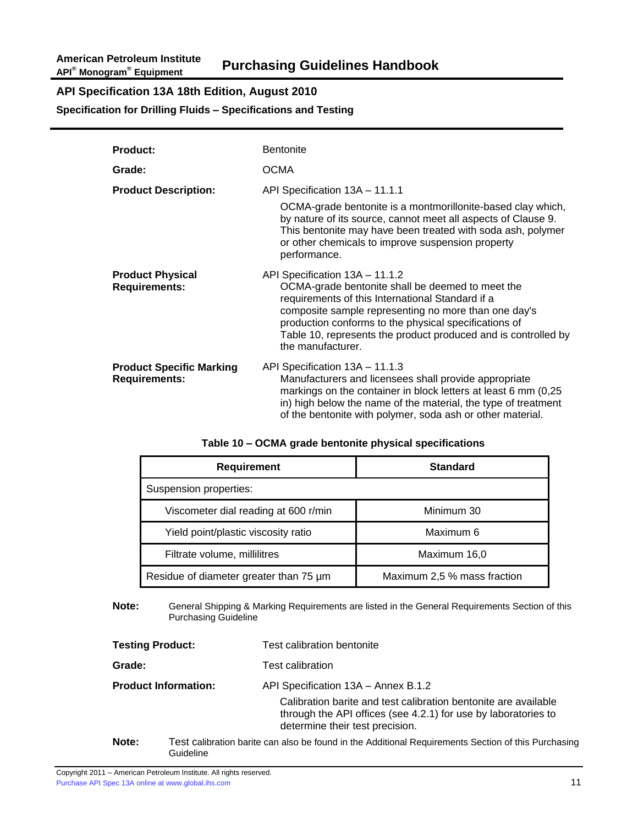**Specification for Drilling Fluids – Specifications and Testing**

| <b>Product:</b>                                         | <b>Bentonite</b>                                                                                                                                                                                                                                                                                                                               |
|---------------------------------------------------------|------------------------------------------------------------------------------------------------------------------------------------------------------------------------------------------------------------------------------------------------------------------------------------------------------------------------------------------------|
| Grade:                                                  | <b>OCMA</b>                                                                                                                                                                                                                                                                                                                                    |
| <b>Product Description:</b>                             | API Specification 13A - 11.1.1<br>OCMA-grade bentonite is a montmorillonite-based clay which,<br>by nature of its source, cannot meet all aspects of Clause 9.<br>This bentonite may have been treated with soda ash, polymer<br>or other chemicals to improve suspension property<br>performance.                                             |
| <b>Product Physical</b><br><b>Requirements:</b>         | API Specification 13A - 11.1.2<br>OCMA-grade bentonite shall be deemed to meet the<br>requirements of this International Standard if a<br>composite sample representing no more than one day's<br>production conforms to the physical specifications of<br>Table 10, represents the product produced and is controlled by<br>the manufacturer. |
| <b>Product Specific Marking</b><br><b>Requirements:</b> | API Specification 13A - 11.1.3<br>Manufacturers and licensees shall provide appropriate<br>markings on the container in block letters at least 6 mm (0,25)<br>in) high below the name of the material, the type of treatment<br>of the bentonite with polymer, soda ash or other material.                                                     |

#### **Table 10 – OCMA grade bentonite physical specifications**

| <b>Requirement</b>                     | <b>Standard</b>             |
|----------------------------------------|-----------------------------|
| Suspension properties:                 |                             |
| Viscometer dial reading at 600 r/min   | Minimum 30                  |
| Yield point/plastic viscosity ratio    | Maximum 6                   |
| Filtrate volume, millilitres           | Maximum 16,0                |
| Residue of diameter greater than 75 um | Maximum 2,5 % mass fraction |

#### **Note:** General Shipping & Marking Requirements are listed in the General Requirements Section of this Purchasing Guideline

| <b>Testing Product:</b>     |  | Test calibration bentonite                                                                                                                                           |
|-----------------------------|--|----------------------------------------------------------------------------------------------------------------------------------------------------------------------|
| Grade:                      |  | <b>Test calibration</b>                                                                                                                                              |
| <b>Product Information:</b> |  | API Specification 13A - Annex B.1.2                                                                                                                                  |
|                             |  | Calibration barite and test calibration bentonite are available<br>through the API offices (see 4.2.1) for use by laboratories to<br>determine their test precision. |
| N                           |  | Tost colibration berits can also be found in the Additional Pequirements Section of this Durcheoing                                                                  |

**Note:** Test calibration barite can also be found in the Additional Requirements Section of this Purchasing Guideline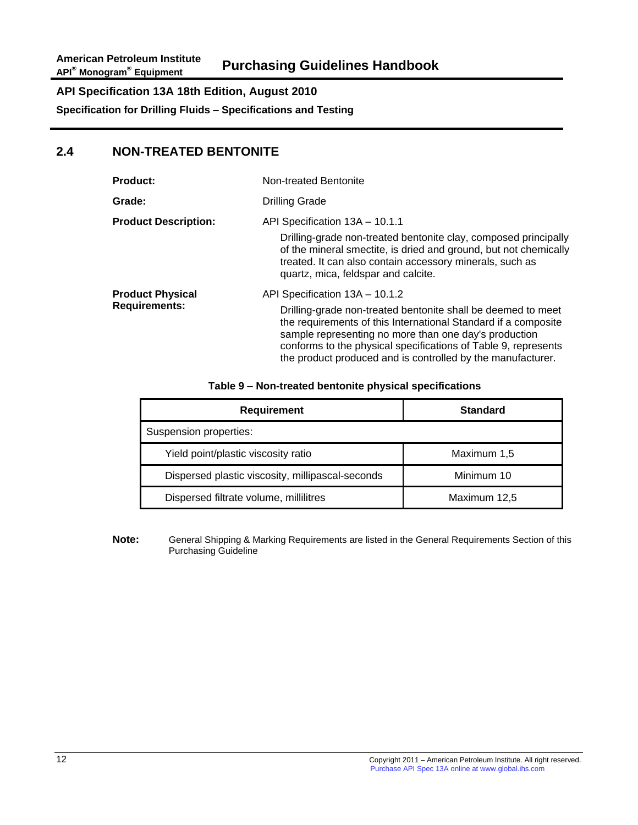### **2.4 NON-TREATED BENTONITE**

| <b>Product:</b>                                 | Non-treated Bentonite                                                                                                                                                                                                                                                                                                                                      |  |
|-------------------------------------------------|------------------------------------------------------------------------------------------------------------------------------------------------------------------------------------------------------------------------------------------------------------------------------------------------------------------------------------------------------------|--|
| Grade:                                          | <b>Drilling Grade</b>                                                                                                                                                                                                                                                                                                                                      |  |
| <b>Product Description:</b>                     | API Specification 13A - 10.1.1<br>Drilling-grade non-treated bentonite clay, composed principally<br>of the mineral smectite, is dried and ground, but not chemically<br>treated. It can also contain accessory minerals, such as<br>quartz, mica, feldspar and calcite.                                                                                   |  |
| <b>Product Physical</b><br><b>Requirements:</b> | API Specification 13A - 10.1.2<br>Drilling-grade non-treated bentonite shall be deemed to meet<br>the requirements of this International Standard if a composite<br>sample representing no more than one day's production<br>conforms to the physical specifications of Table 9, represents<br>the product produced and is controlled by the manufacturer. |  |

#### **Table 9 – Non-treated bentonite physical specifications**

| <b>Requirement</b>                               | <b>Standard</b> |
|--------------------------------------------------|-----------------|
| Suspension properties:                           |                 |
| Yield point/plastic viscosity ratio              | Maximum 1,5     |
| Dispersed plastic viscosity, millipascal-seconds | Minimum 10      |
| Dispersed filtrate volume, millilitres           | Maximum 12,5    |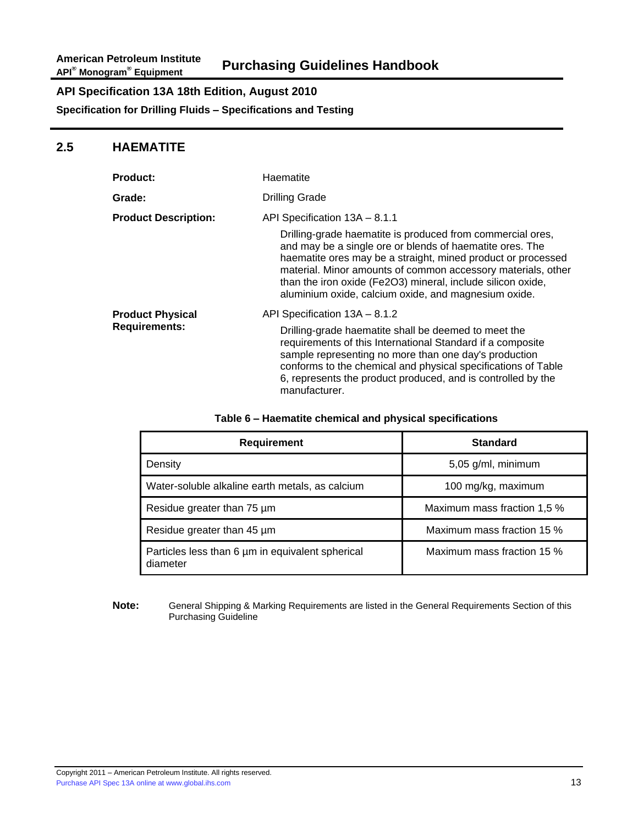### **2.5 HAEMATITE**

| <b>Product:</b>                                 | Haematite                                                                                                                                                                                                                                                                                                                                                                                                      |  |
|-------------------------------------------------|----------------------------------------------------------------------------------------------------------------------------------------------------------------------------------------------------------------------------------------------------------------------------------------------------------------------------------------------------------------------------------------------------------------|--|
| Grade:                                          | <b>Drilling Grade</b>                                                                                                                                                                                                                                                                                                                                                                                          |  |
| <b>Product Description:</b>                     | API Specification 13A - 8.1.1<br>Drilling-grade haematite is produced from commercial ores,<br>and may be a single ore or blends of haematite ores. The<br>haematite ores may be a straight, mined product or processed<br>material. Minor amounts of common accessory materials, other<br>than the iron oxide (Fe2O3) mineral, include silicon oxide,<br>aluminium oxide, calcium oxide, and magnesium oxide. |  |
| <b>Product Physical</b><br><b>Requirements:</b> | API Specification 13A - 8.1.2<br>Drilling-grade haematite shall be deemed to meet the<br>requirements of this International Standard if a composite<br>sample representing no more than one day's production<br>conforms to the chemical and physical specifications of Table<br>6, represents the product produced, and is controlled by the<br>manufacturer.                                                 |  |

#### **Table 6 – Haematite chemical and physical specifications**

| <b>Requirement</b>                                           | <b>Standard</b>             |
|--------------------------------------------------------------|-----------------------------|
| Density                                                      | 5,05 g/ml, minimum          |
| Water-soluble alkaline earth metals, as calcium              | 100 mg/kg, maximum          |
| Residue greater than 75 um                                   | Maximum mass fraction 1,5 % |
| Residue greater than 45 um                                   | Maximum mass fraction 15 %  |
| Particles less than 6 um in equivalent spherical<br>diameter | Maximum mass fraction 15 %  |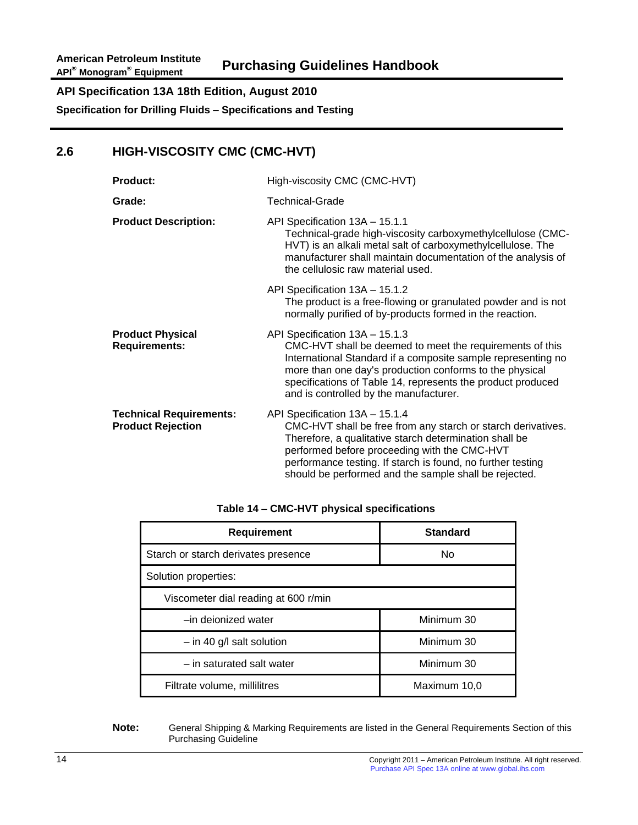# **2.6 HIGH-VISCOSITY CMC (CMC-HVT)**

| <b>Product:</b>                                            | High-viscosity CMC (CMC-HVT)                                                                                                                                                                                                                                                                                                     |
|------------------------------------------------------------|----------------------------------------------------------------------------------------------------------------------------------------------------------------------------------------------------------------------------------------------------------------------------------------------------------------------------------|
| Grade:                                                     | Technical-Grade                                                                                                                                                                                                                                                                                                                  |
| <b>Product Description:</b>                                | API Specification 13A - 15.1.1<br>Technical-grade high-viscosity carboxymethylcellulose (CMC-<br>HVT) is an alkali metal salt of carboxymethylcellulose. The<br>manufacturer shall maintain documentation of the analysis of<br>the cellulosic raw material used.                                                                |
|                                                            | API Specification 13A - 15.1.2<br>The product is a free-flowing or granulated powder and is not<br>normally purified of by-products formed in the reaction.                                                                                                                                                                      |
| <b>Product Physical</b><br><b>Requirements:</b>            | API Specification 13A - 15.1.3<br>CMC-HVT shall be deemed to meet the requirements of this<br>International Standard if a composite sample representing no<br>more than one day's production conforms to the physical<br>specifications of Table 14, represents the product produced<br>and is controlled by the manufacturer.   |
| <b>Technical Requirements:</b><br><b>Product Rejection</b> | API Specification 13A - 15.1.4<br>CMC-HVT shall be free from any starch or starch derivatives.<br>Therefore, a qualitative starch determination shall be<br>performed before proceeding with the CMC-HVT<br>performance testing. If starch is found, no further testing<br>should be performed and the sample shall be rejected. |

#### **Table 14 – CMC-HVT physical specifications**

| <b>Requirement</b>                   | <b>Standard</b> |
|--------------------------------------|-----------------|
| Starch or starch derivates presence  | No              |
| Solution properties:                 |                 |
| Viscometer dial reading at 600 r/min |                 |
| -in deionized water                  | Minimum 30      |
| $-$ in 40 g/l salt solution          | Minimum 30      |
| - in saturated salt water            | Minimum 30      |
| Filtrate volume, millilitres         | Maximum 10,0    |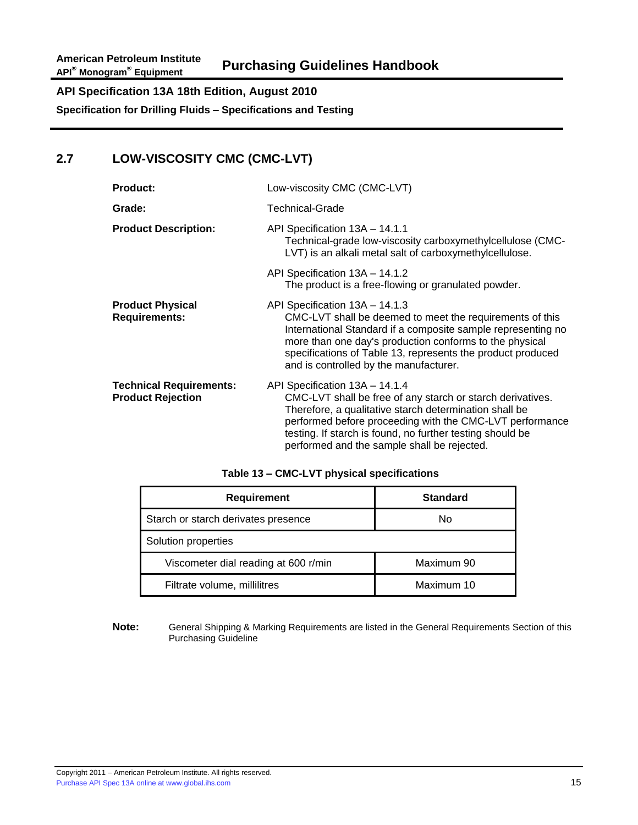# **2.7 LOW-VISCOSITY CMC (CMC-LVT)**

| <b>Product:</b>                                            | Low-viscosity CMC (CMC-LVT)                                                                                                                                                                                                                                                                                                    |
|------------------------------------------------------------|--------------------------------------------------------------------------------------------------------------------------------------------------------------------------------------------------------------------------------------------------------------------------------------------------------------------------------|
| Grade:                                                     | Technical-Grade                                                                                                                                                                                                                                                                                                                |
| <b>Product Description:</b>                                | API Specification 13A - 14.1.1<br>Technical-grade low-viscosity carboxymethylcellulose (CMC-<br>LVT) is an alkali metal salt of carboxymethylcellulose.                                                                                                                                                                        |
|                                                            | API Specification 13A - 14.1.2<br>The product is a free-flowing or granulated powder.                                                                                                                                                                                                                                          |
| <b>Product Physical</b><br><b>Requirements:</b>            | API Specification 13A - 14.1.3<br>CMC-LVT shall be deemed to meet the requirements of this<br>International Standard if a composite sample representing no<br>more than one day's production conforms to the physical<br>specifications of Table 13, represents the product produced<br>and is controlled by the manufacturer. |
| <b>Technical Requirements:</b><br><b>Product Rejection</b> | API Specification 13A - 14.1.4<br>CMC-LVT shall be free of any starch or starch derivatives.<br>Therefore, a qualitative starch determination shall be<br>performed before proceeding with the CMC-LVT performance<br>testing. If starch is found, no further testing should be<br>performed and the sample shall be rejected. |

|  | Table 13 - CMC-LVT physical specifications |
|--|--------------------------------------------|
|--|--------------------------------------------|

| <b>Requirement</b>                   | <b>Standard</b> |
|--------------------------------------|-----------------|
| Starch or starch derivates presence  | No              |
| Solution properties                  |                 |
| Viscometer dial reading at 600 r/min | Maximum 90      |
| Filtrate volume, millilitres         | Maximum 10      |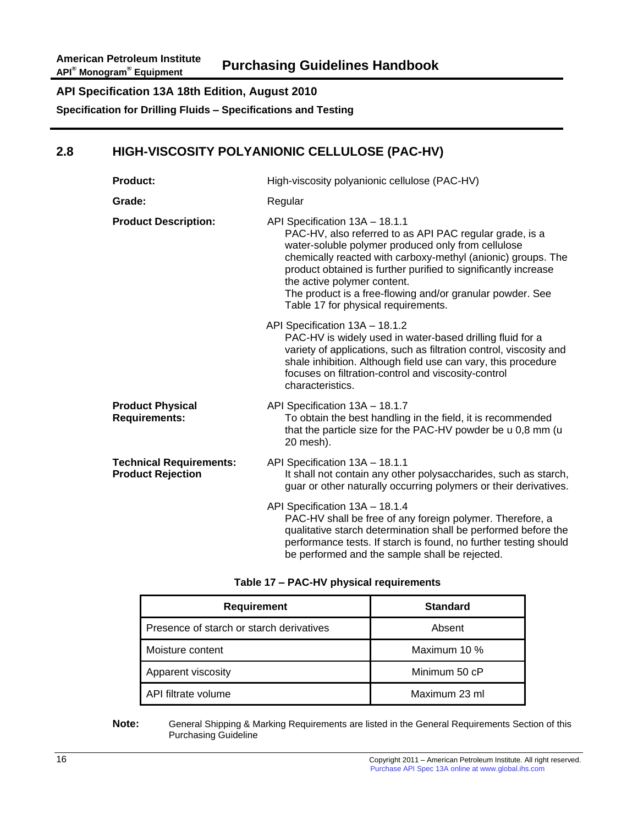# **2.8 HIGH-VISCOSITY POLYANIONIC CELLULOSE (PAC-HV)**

| <b>Product:</b>                                            | High-viscosity polyanionic cellulose (PAC-HV)                                                                                                                                                                                                                                                                                                                                                                        |
|------------------------------------------------------------|----------------------------------------------------------------------------------------------------------------------------------------------------------------------------------------------------------------------------------------------------------------------------------------------------------------------------------------------------------------------------------------------------------------------|
| Grade:                                                     | Regular                                                                                                                                                                                                                                                                                                                                                                                                              |
| <b>Product Description:</b>                                | API Specification 13A - 18.1.1<br>PAC-HV, also referred to as API PAC regular grade, is a<br>water-soluble polymer produced only from cellulose<br>chemically reacted with carboxy-methyl (anionic) groups. The<br>product obtained is further purified to significantly increase<br>the active polymer content.<br>The product is a free-flowing and/or granular powder. See<br>Table 17 for physical requirements. |
|                                                            | API Specification 13A - 18.1.2<br>PAC-HV is widely used in water-based drilling fluid for a<br>variety of applications, such as filtration control, viscosity and<br>shale inhibition. Although field use can vary, this procedure<br>focuses on filtration-control and viscosity-control<br>characteristics.                                                                                                        |
| <b>Product Physical</b><br><b>Requirements:</b>            | API Specification 13A - 18.1.7<br>To obtain the best handling in the field, it is recommended<br>that the particle size for the PAC-HV powder be u 0,8 mm (u<br>20 mesh).                                                                                                                                                                                                                                            |
| <b>Technical Requirements:</b><br><b>Product Rejection</b> | API Specification 13A - 18.1.1<br>It shall not contain any other polysaccharides, such as starch,<br>guar or other naturally occurring polymers or their derivatives.                                                                                                                                                                                                                                                |
|                                                            | API Specification 13A - 18.1.4<br>PAC-HV shall be free of any foreign polymer. Therefore, a<br>qualitative starch determination shall be performed before the<br>performance tests. If starch is found, no further testing should<br>be performed and the sample shall be rejected.                                                                                                                                  |

| <b>Requirement</b>                       | <b>Standard</b> |
|------------------------------------------|-----------------|
| Presence of starch or starch derivatives | Absent          |
| Moisture content                         | Maximum 10 %    |
| Apparent viscosity                       | Minimum 50 cP   |
| API filtrate volume                      | Maximum 23 ml   |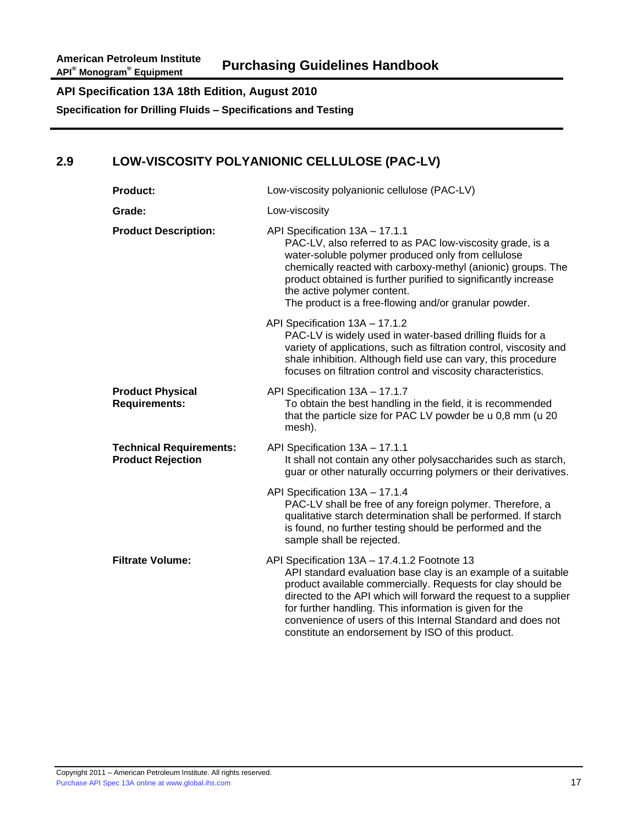# **2.9 LOW-VISCOSITY POLYANIONIC CELLULOSE (PAC-LV)**

| <b>Product:</b>                                            | Low-viscosity polyanionic cellulose (PAC-LV)                                                                                                                                                                                                                                                                                                                                                                                    |
|------------------------------------------------------------|---------------------------------------------------------------------------------------------------------------------------------------------------------------------------------------------------------------------------------------------------------------------------------------------------------------------------------------------------------------------------------------------------------------------------------|
| Grade:                                                     | Low-viscosity                                                                                                                                                                                                                                                                                                                                                                                                                   |
| <b>Product Description:</b>                                | API Specification 13A - 17.1.1<br>PAC-LV, also referred to as PAC low-viscosity grade, is a<br>water-soluble polymer produced only from cellulose<br>chemically reacted with carboxy-methyl (anionic) groups. The<br>product obtained is further purified to significantly increase<br>the active polymer content.<br>The product is a free-flowing and/or granular powder.                                                     |
|                                                            | API Specification 13A - 17.1.2<br>PAC-LV is widely used in water-based drilling fluids for a<br>variety of applications, such as filtration control, viscosity and<br>shale inhibition. Although field use can vary, this procedure<br>focuses on filtration control and viscosity characteristics.                                                                                                                             |
| <b>Product Physical</b><br><b>Requirements:</b>            | API Specification 13A - 17.1.7<br>To obtain the best handling in the field, it is recommended<br>that the particle size for PAC LV powder be u 0,8 mm (u 20<br>mesh).                                                                                                                                                                                                                                                           |
| <b>Technical Requirements:</b><br><b>Product Rejection</b> | API Specification 13A - 17.1.1<br>It shall not contain any other polysaccharides such as starch,<br>guar or other naturally occurring polymers or their derivatives.                                                                                                                                                                                                                                                            |
|                                                            | API Specification 13A - 17.1.4<br>PAC-LV shall be free of any foreign polymer. Therefore, a<br>qualitative starch determination shall be performed. If starch<br>is found, no further testing should be performed and the<br>sample shall be rejected.                                                                                                                                                                          |
| <b>Filtrate Volume:</b>                                    | API Specification 13A - 17.4.1.2 Footnote 13<br>API standard evaluation base clay is an example of a suitable<br>product available commercially. Requests for clay should be<br>directed to the API which will forward the request to a supplier<br>for further handling. This information is given for the<br>convenience of users of this Internal Standard and does not<br>constitute an endorsement by ISO of this product. |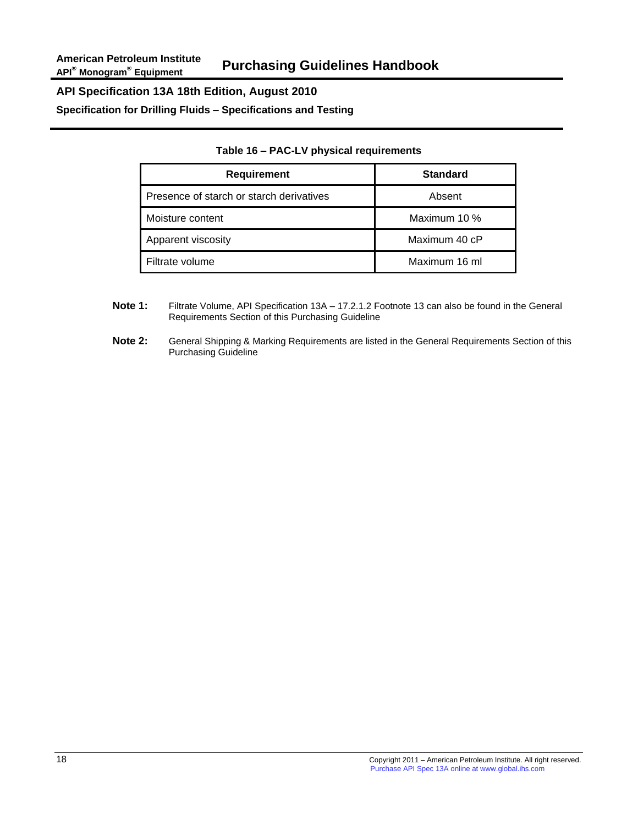**Specification for Drilling Fluids – Specifications and Testing**

| <b>Requirement</b>                       | <b>Standard</b> |
|------------------------------------------|-----------------|
| Presence of starch or starch derivatives | Absent          |
| Moisture content                         | Maximum 10 %    |
| Apparent viscosity                       | Maximum 40 cP   |
| Filtrate volume                          | Maximum 16 ml   |

#### **Table 16 – PAC-LV physical requirements**

- **Note 1:** Filtrate Volume, API Specification 13A 17.2.1.2 Footnote 13 can also be found in the General Requirements Section of this Purchasing Guideline
- **Note 2:** General Shipping & Marking Requirements are listed in the General Requirements Section of this Purchasing Guideline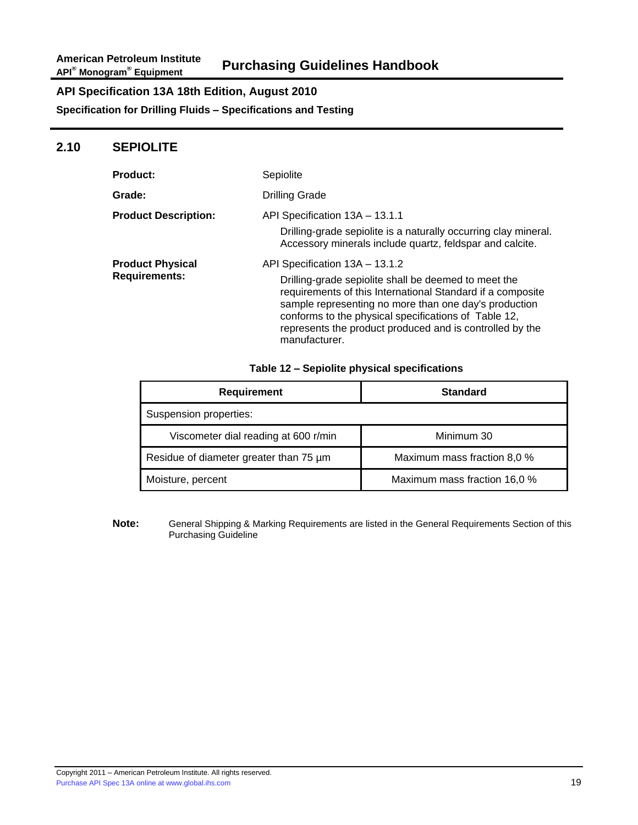**Specification for Drilling Fluids – Specifications and Testing**

#### **2.10 SEPIOLITE**

| <b>Product:</b>                                 | Sepiolite                                                                                                                                                                                                                                                                                                                                          |
|-------------------------------------------------|----------------------------------------------------------------------------------------------------------------------------------------------------------------------------------------------------------------------------------------------------------------------------------------------------------------------------------------------------|
| <b>Grade:</b>                                   | <b>Drilling Grade</b>                                                                                                                                                                                                                                                                                                                              |
| <b>Product Description:</b>                     | API Specification 13A - 13.1.1                                                                                                                                                                                                                                                                                                                     |
|                                                 | Drilling-grade sepiolite is a naturally occurring clay mineral.<br>Accessory minerals include quartz, feldspar and calcite.                                                                                                                                                                                                                        |
| <b>Product Physical</b><br><b>Requirements:</b> | API Specification 13A - 13.1.2<br>Drilling-grade sepiolite shall be deemed to meet the<br>requirements of this International Standard if a composite<br>sample representing no more than one day's production<br>conforms to the physical specifications of Table 12,<br>represents the product produced and is controlled by the<br>manufacturer. |

#### **Table 12 – Sepiolite physical specifications**

| <b>Requirement</b>                     | <b>Standard</b>              |
|----------------------------------------|------------------------------|
| Suspension properties:                 |                              |
| Viscometer dial reading at 600 r/min   | Minimum 30                   |
| Residue of diameter greater than 75 um | Maximum mass fraction 8,0 %  |
| Moisture, percent                      | Maximum mass fraction 16,0 % |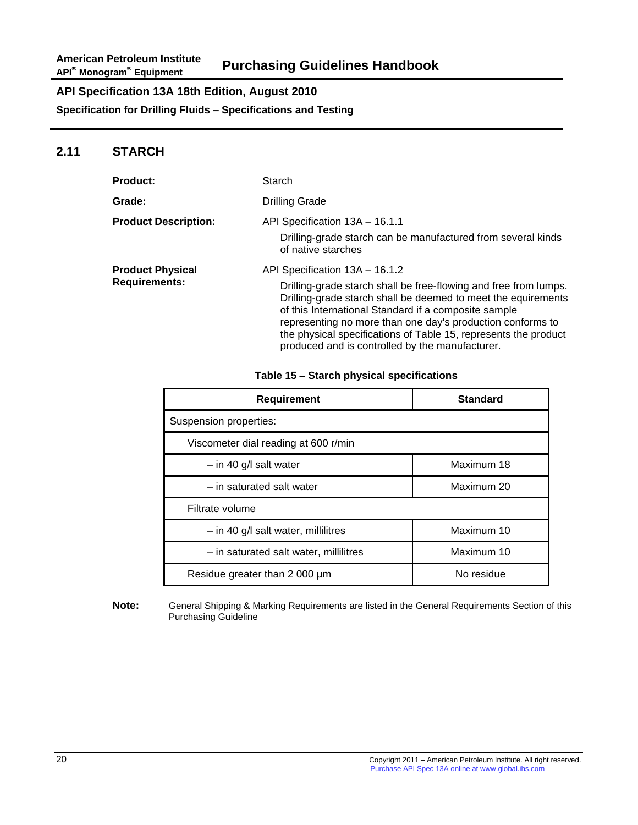**Specification for Drilling Fluids – Specifications and Testing**

### **2.11 STARCH**

| <b>Product:</b>             | Starch                                                                                                                                                                                                                                                                                                                                                                        |
|-----------------------------|-------------------------------------------------------------------------------------------------------------------------------------------------------------------------------------------------------------------------------------------------------------------------------------------------------------------------------------------------------------------------------|
| Grade:                      | <b>Drilling Grade</b>                                                                                                                                                                                                                                                                                                                                                         |
| <b>Product Description:</b> | API Specification 13A - 16.1.1                                                                                                                                                                                                                                                                                                                                                |
|                             | Drilling-grade starch can be manufactured from several kinds<br>of native starches                                                                                                                                                                                                                                                                                            |
| <b>Product Physical</b>     | API Specification 13A - 16.1.2                                                                                                                                                                                                                                                                                                                                                |
| Requirements:               | Drilling-grade starch shall be free-flowing and free from lumps.<br>Drilling-grade starch shall be deemed to meet the equirements<br>of this International Standard if a composite sample<br>representing no more than one day's production conforms to<br>the physical specifications of Table 15, represents the product<br>produced and is controlled by the manufacturer. |

**Table 15 – Starch physical specifications**

| <b>Requirement</b>                     | <b>Standard</b> |
|----------------------------------------|-----------------|
| Suspension properties:                 |                 |
| Viscometer dial reading at 600 r/min   |                 |
| $-$ in 40 g/l salt water               | Maximum 18      |
| - in saturated salt water              | Maximum 20      |
| Filtrate volume                        |                 |
| $-$ in 40 g/l salt water, millilitres  | Maximum 10      |
| - in saturated salt water, millilitres | Maximum 10      |
| Residue greater than 2 000 um          | No residue      |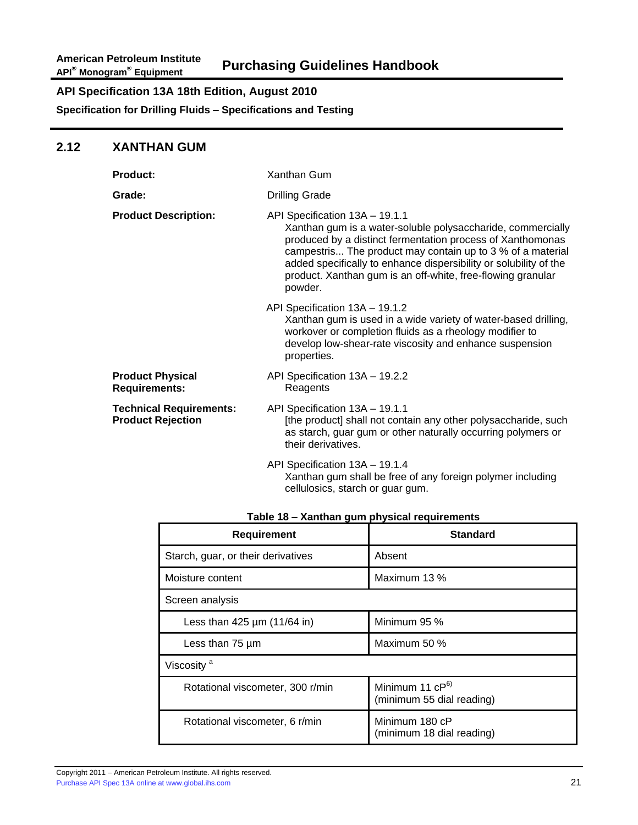**Specification for Drilling Fluids – Specifications and Testing**

### **2.12 XANTHAN GUM**

| <b>Product:</b>                                            | Xanthan Gum                                                                                                                                                                                                                                                                                                                                                              |
|------------------------------------------------------------|--------------------------------------------------------------------------------------------------------------------------------------------------------------------------------------------------------------------------------------------------------------------------------------------------------------------------------------------------------------------------|
| Grade:                                                     | <b>Drilling Grade</b>                                                                                                                                                                                                                                                                                                                                                    |
| <b>Product Description:</b>                                | API Specification 13A - 19.1.1<br>Xanthan gum is a water-soluble polysaccharide, commercially<br>produced by a distinct fermentation process of Xanthomonas<br>campestris The product may contain up to 3 % of a material<br>added specifically to enhance dispersibility or solubility of the<br>product. Xanthan gum is an off-white, free-flowing granular<br>powder. |
|                                                            | API Specification 13A - 19.1.2<br>Xanthan gum is used in a wide variety of water-based drilling,<br>workover or completion fluids as a rheology modifier to<br>develop low-shear-rate viscosity and enhance suspension<br>properties.                                                                                                                                    |
| <b>Product Physical</b><br><b>Requirements:</b>            | API Specification 13A - 19.2.2<br>Reagents                                                                                                                                                                                                                                                                                                                               |
| <b>Technical Requirements:</b><br><b>Product Rejection</b> | API Specification 13A - 19.1.1<br>[the product] shall not contain any other polysaccharide, such<br>as starch, guar gum or other naturally occurring polymers or<br>their derivatives.                                                                                                                                                                                   |
|                                                            | API Specification 13A - 19.1.4<br>Xanthan gum shall be free of any foreign polymer including                                                                                                                                                                                                                                                                             |

| cellulosics, starch or guar gum. |  |  |
|----------------------------------|--|--|
|                                  |  |  |

| Table 18 - Xanthan gum physical requirements |
|----------------------------------------------|
|----------------------------------------------|

| <b>Requirement</b>                       | <b>Standard</b>                                  |  |
|------------------------------------------|--------------------------------------------------|--|
| Starch, guar, or their derivatives       | Absent                                           |  |
| Moisture content                         | Maximum 13 %                                     |  |
| Screen analysis                          |                                                  |  |
| Less than $425 \mu m (11/64 \text{ in})$ | Minimum 95 %                                     |  |
| Less than $75 \mu m$                     | Maximum 50 %                                     |  |
| Viscosity <sup>a</sup>                   |                                                  |  |
| Rotational viscometer, 300 r/min         | Minimum 11 $CP^{6}$<br>(minimum 55 dial reading) |  |
| Rotational viscometer, 6 r/min           | Minimum 180 cP<br>(minimum 18 dial reading)      |  |